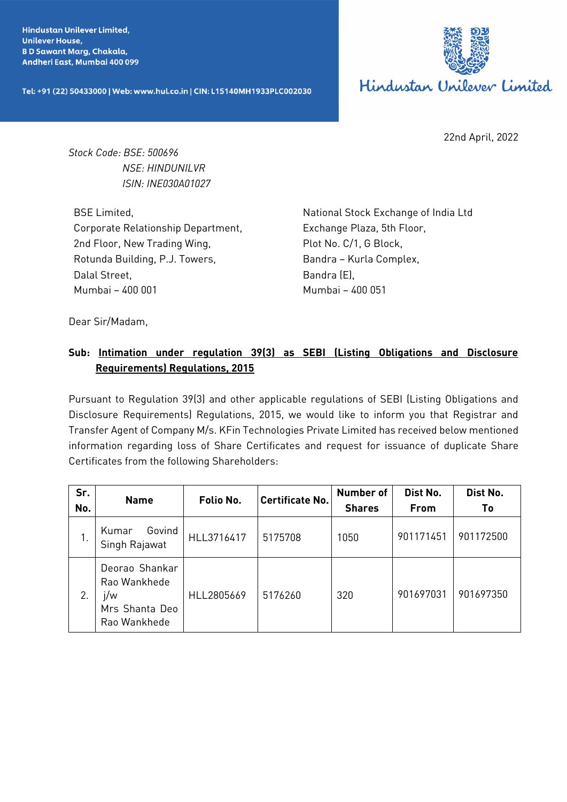**Hindustan Unilever Limited, Unilever House, BD Sawant Marg, Chakala,** Andheri East, Mumbai 400 099

Tel: +91 (22) 50433000 | Web: www.hul.co.in | CIN: L15140MH1933PLC002030



22nd April, 2022

*Stock Code: BSE: 500696 NSE: HINDUNILVR ISIN: INE030A01027*

BSE Limited, Corporate Relationship Department, 2nd Floor, New Trading Wing, Rotunda Building, P.J. Towers, Dalal Street, Mumbai – 400 001

National Stock Exchange of India Ltd Exchange Plaza, 5th Floor, Plot No. C/1, G Block, Bandra – Kurla Complex, Bandra (E), Mumbai – 400 051

Dear Sir/Madam,

## **Sub: Intimation under regulation 39(3) as SEBI (Listing Obligations and Disclosure Requirements) Regulations, 2015**

Pursuant to Regulation 39(3) and other applicable regulations of SEBI (Listing Obligations and Disclosure Requirements) Regulations, 2015, we would like to inform you that Registrar and Transfer Agent of Company M/s. KFin Technologies Private Limited has received below mentioned information regarding loss of Share Certificates and request for issuance of duplicate Share Certificates from the following Shareholders:

| Sr.<br>No. | <b>Name</b>                                                             | Folio No.  | <b>Certificate No.</b> | <b>Number of</b><br><b>Shares</b> | Dist No.<br><b>From</b> | Dist No.<br>Τo |
|------------|-------------------------------------------------------------------------|------------|------------------------|-----------------------------------|-------------------------|----------------|
| 1.         | Govind<br>Kumar<br>Singh Rajawat                                        | HLL3716417 | 5175708                | 1050                              | 901171451               | 901172500      |
| 2.         | Deorao Shankar<br>Rao Wankhede<br>j/w<br>Mrs Shanta Deo<br>Rao Wankhede | HLL2805669 | 5176260                | 320                               | 901697031               | 901697350      |